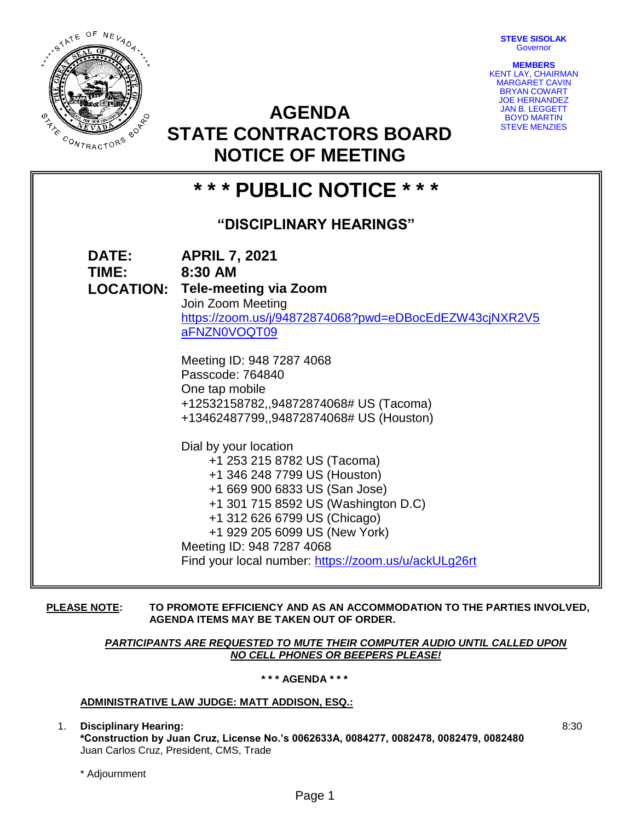**STEVE SISOLAK Governor** 



**MEMBERS** KENT LAY, CHAIRMAN MARGARET CAVIN BRYAN COWART JOE HERNANDEZ JAN B. LEGGETT BOYD MARTIN STEVE MENZIES

8:30

# **AGENDA STATE CONTRACTORS BOARD NOTICE OF MEETING**

## **\* \* \* PUBLIC NOTICE \* \* \* "DISCIPLINARY HEARINGS" DATE: APRIL 7, 2021 TIME: 8:30 AM LOCATION: Tele-meeting via Zoom** Join Zoom Meeting [https://zoom.us/j/94872874068?pwd=eDBocEdEZW43cjNXR2V5](https://zoom.us/j/94872874068?pwd=eDBocEdEZW43cjNXR2V5aFNZN0VOQT09) [aFNZN0VOQT09](https://zoom.us/j/94872874068?pwd=eDBocEdEZW43cjNXR2V5aFNZN0VOQT09) Meeting ID: 948 7287 4068 Passcode: 764840 One tap mobile +12532158782,,94872874068# US (Tacoma) +13462487799,,94872874068# US (Houston) Dial by your location +1 253 215 8782 US (Tacoma) +1 346 248 7799 US (Houston) +1 669 900 6833 US (San Jose) +1 301 715 8592 US (Washington D.C) +1 312 626 6799 US (Chicago) +1 929 205 6099 US (New York) Meeting ID: 948 7287 4068 Find your local number:<https://zoom.us/u/ackULg26rt>

**PLEASE NOTE: TO PROMOTE EFFICIENCY AND AS AN ACCOMMODATION TO THE PARTIES INVOLVED, AGENDA ITEMS MAY BE TAKEN OUT OF ORDER.**

> *PARTICIPANTS ARE REQUESTED TO MUTE THEIR COMPUTER AUDIO UNTIL CALLED UPON NO CELL PHONES OR BEEPERS PLEASE!*

> > **\* \* \* AGENDA \* \* \***

### **ADMINISTRATIVE LAW JUDGE: MATT ADDISON, ESQ.:**

1. **Disciplinary Hearing: \*Construction by Juan Cruz, License No.'s 0062633A, 0084277, 0082478, 0082479, 0082480** Juan Carlos Cruz, President, CMS, Trade

\* Adjournment